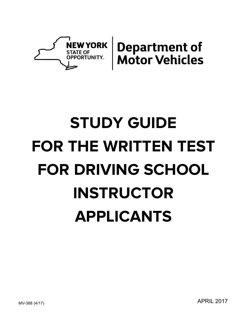

**Department of<br>Motor Vehicles** 

# **STUDY GUIDE FOR THE WRITTEN TEST FOR DRIVING SCHOOL INSTRUCTOR APPLICANTS**

MV-368 (4/17) APRIL 2017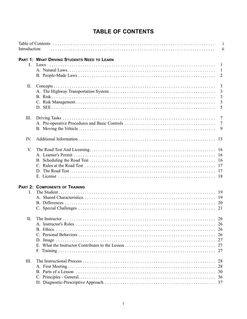# **TABLE OF CONTENTS**

| Introduction |                                             |                |
|--------------|---------------------------------------------|----------------|
|              | PART 1: WHAT DRIVING STUDENTS NEED TO LEARN |                |
| L.           | Laws                                        | -1             |
|              |                                             | -1             |
|              |                                             | 2              |
| П.           |                                             | 3              |
|              |                                             | 3              |
|              |                                             | 3              |
|              |                                             | 3              |
|              |                                             | 5              |
| III.         |                                             | 7              |
|              |                                             | $\overline{7}$ |
|              |                                             | 9              |
| IV.          |                                             |                |
| V.           |                                             |                |
|              |                                             |                |
|              |                                             |                |
|              |                                             |                |
|              |                                             |                |
|              |                                             |                |
|              | <b>PART 2: COMPONENTS OF TRAINING</b>       |                |
| L.           |                                             |                |
|              |                                             |                |
|              |                                             |                |
|              |                                             |                |
| П.           |                                             |                |
|              |                                             | 26             |
|              |                                             | 26             |
|              |                                             | 26             |
|              |                                             | 27             |
|              |                                             | 27             |
|              |                                             | 27             |
| III.         |                                             | 28             |
|              |                                             | 28             |
|              |                                             | 30             |
|              |                                             | 36             |
|              |                                             |                |
|              |                                             |                |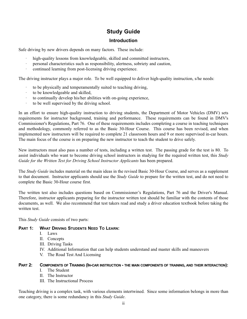# **Study Guide**

#### **Introduction**

<span id="page-2-0"></span>Safe driving by new drivers depends on many factors. These include:

- high-quality lessons from knowledgeable, skilled and committed instructors,
- · personal characteristics such as responsibility, alertness, sobriety and caution,
- · continued learning from post-licensing driving experience.

The driving instructor plays a major role. To be well equipped to deliver high-quality instruction, s/he needs:

- to be physically and temperamentally suited to teaching driving,
- · to be knowledgeable and skilled,
- to continually develop his/her abilities with on-going experience,
- · to be well supervised by the driving school.

In an effort to ensure high-quality instruction to driving students, the Department of Motor Vehicles (DMV) sets requirements for instructor background, training and performance. These requirements can be found in DMV's Commissioner's Regulations, Part 76. One of these requirements includes completing a course in teaching techniques and methodology, commonly referred to as the Basic 30-Hour Course. This course has been revised, and when implemented new instructors will be required to complete 21 classroom hours and 9 or more supervised in-car hours. The main focus of the course is on preparing the new instructor to teach the student to drive safely.

New instructors must also pass a number of tests, including a written test. The passing grade for the test is 80. To assist individuals who want to become driving school instructors in studying for the required written test, this *Study Guide for the Written Test for Driving School Instructor Applicants* has been prepared.

The *Study Guide* includes material on the main ideas in the revised Basic 30-Hour Course, and serves as a supplement to that document. Instructor applicants should use the *Study Guide* to prepare for the written test, and do not need to complete the Basic 30-Hour course first.

The written test also includes questions based on Commissioner's Regulations, Part 76 and the Driver's Manual. Therefore, instructor applicants preparing for the instructor written test should be familiar with the contents of those documents, as well. We also recommend that test takers read and study a driver education textbook before taking the written test.

This *Study Guide* consists of two parts:

#### **PART 1: WHAT DRIVING STUDENTS NEED TO LEARN:**

- I. Laws
- II. Concepts
- III. Driving Tasks
- IV. Additional Information that can help students understand and master skills and maneuvers
- V. The Road Test And Licensing

## **PART 2: COMPONENTS OF TRAINING (IN-CAR INSTRUCTION - THE MAIN COMPONENTS OF TRAINING, AND THEIR INTERACTION):**

- I. The Student
- II. The Instructor
- III. The Instructional Process

Teaching driving is a complex task, with various elements intertwined. Since some information belongs in more than one category, there is some redundancy in this *Study Guide*.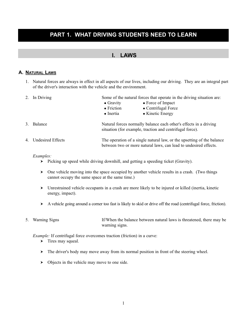# <span id="page-3-1"></span><span id="page-3-0"></span>**PART 1. WHAT DRIVING STUDENTS NEED TO LEARN**

# **I. LAWS**

#### **A. NATURAL LAWS**

 1. Natural forces are always in effect in all aspects of our lives, including our driving. They are an integral part of the driver's interaction with the vehicle and the environment.

| In Driving              |                    | Some of the natural forces that operate in the driving situation are:                                                                      |  |
|-------------------------|--------------------|--------------------------------------------------------------------------------------------------------------------------------------------|--|
|                         | $\bullet$ Gravity  | • Force of Impact                                                                                                                          |  |
|                         | $\bullet$ Friction | • Centrifugal Force                                                                                                                        |  |
|                         | $\bullet$ Inertia  | • Kinetic Energy                                                                                                                           |  |
| Balance                 |                    | Natural forces normally balance each other's effects in a driving<br>situation (for example, traction and centrifugal force).              |  |
| Undesired Effects<br>4. |                    | The operation of a single natural law, or the upsetting of the balance<br>between two or more natural laws, can lead to undesired effects. |  |

#### *Examples:*

- $\blacktriangleright$  Picking up speed while driving downhill, and getting a speeding ticket (Gravity).
- $\triangleright$  One vehicle moving into the space occupied by another vehicle results in a crash. (Two things cannot occupy the same space at the same time.)
- ▶ Unrestrained vehicle occupants in a crash are more likely to be injured or killed (inertia, kinetic energy, impact).
- ▶ A vehicle going around a corner too fast is likely to skid or drive off the road (centrifugal force, friction).
- 

 5. Warning Signs If/When the balance between natural laws is threatened, there may be warning signs.

*Example:* If centrifugal force overcomes traction (friction) in a curve:

- $\blacktriangleright$  Tires may squeal.
- $\blacktriangleright$  The driver's body may move away from its normal position in front of the steering wheel.
- $\triangleright$  Objects in the vehicle may move to one side.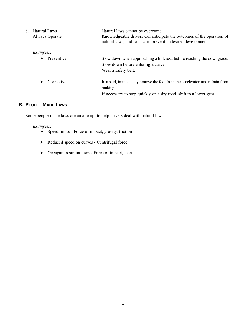<span id="page-4-0"></span>

| 6. Natural Laws<br>Always Operate |                  | Natural laws cannot be overcome.<br>Knowledgeable drivers can anticipate the outcomes of the operation of<br>natural laws, and can act to prevent undesired developments. |  |
|-----------------------------------|------------------|---------------------------------------------------------------------------------------------------------------------------------------------------------------------------|--|
|                                   | <i>Examples:</i> |                                                                                                                                                                           |  |
|                                   | Preventive:<br>➤ | Slow down when approaching a hillcrest, before reaching the downgrade.<br>Slow down before entering a curve.<br>Wear a safety belt.                                       |  |
|                                   | Corrective:<br>➤ | In a skid, immediately remove the foot from the accelerator, and refrain from<br>braking.<br>If necessary to stop quickly on a dry road, shift to a lower gear.           |  |

## **B. PEOPLE-MADE LAWS**

Some people-made laws are an attempt to help drivers deal with natural laws.

*Examples:* 

- $\rightarrow$  Speed limits Force of impact, gravity, friction
- ▶ Reduced speed on curves Centrifugal force
- ▶ Occupant restraint laws Force of impact, inertia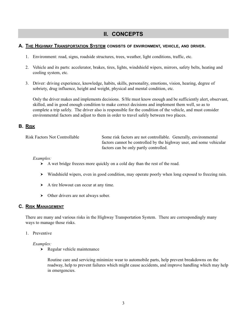# **II. CONCEPTS**

#### <span id="page-5-0"></span>**A. THE HIGHWAY TRANSPORTATION SYSTEM CONSISTS OF ENVIRONMENT, VEHICLE, AND DRIVER.**

- 1. Environment: road, signs, roadside structures, trees, weather, light conditions, traffic, etc.
- 2. Vehicle and its parts: accelerator, brakes, tires, lights, windshield wipers, mirrors, safety belts, heating and cooling system, etc.
- 3. Driver: driving experience, knowledge, habits, skills, personality, emotions, vision, hearing, degree of sobriety, drug influence, height and weight, physical and mental condition, etc.

 Only the driver makes and implements decisions. S/He must know enough and be sufficiently alert, observant, skilled, and in good enough condition to make correct decisions and implement them well, so as to complete a trip safely. The driver also is responsible for the condition of the vehicle, and must consider environmental factors and adjust to them in order to travel safely between two places.

#### **B. RISK**

 Risk Factors Not Controllable Some risk factors are not controllable. Generally, environmental factors cannot be controlled by the highway user, and some vehicular factors can be only partly controlled.

#### *Examples:*

- $\blacktriangleright$  A wet bridge freezes more quickly on a cold day than the rest of the road.
- $\blacktriangleright$  Windshield wipers, even in good condition, may operate poorly when long exposed to freezing rain.
- $\blacktriangleright$  A tire blowout can occur at any time.
- ▶ Other drivers are not always sober.

#### **C. RISK MANAGEMENT**

 There are many and various risks in the Highway Transportation System. There are correspondingly many ways to manage those risks.

1. Preventive

#### *Examples:*

 $\blacktriangleright$  Regular vehicle maintenance

 Routine care and servicing minimize wear to automobile parts, help prevent breakdowns on the roadway, help to prevent failures which might cause accidents, and improve handling which may help in emergencies.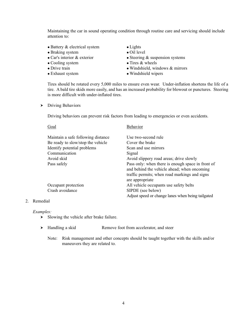Maintaining the car in sound operating condition through routine care and servicing should include attention to:

- $\bullet$  Battery & electrical system  $\bullet$  Lights
- Braking system Oil level
- 
- $\bullet$  Cooling system  $\bullet$  Tires & wheels
- 
- 
- 
- 
- Car's interior & exterior Steering & suspension systems
	-
- Drive train version is a windshield, windows & mirrors
- Exhaust system Windshield wipers

 Tires should be rotated every 5,000 miles to ensure even wear. Under-inflation shortens the life of a tire. A bald tire skids more easily, and has an increased probability for blowout or punctures. Steering is more difficult with under-inflated tires.

▶ Driving Behaviors

Driving behaviors can prevent risk factors from leading to emergencies or even accidents.

| Goal                               | <b>Behavior</b>                                                                                                                                                      |
|------------------------------------|----------------------------------------------------------------------------------------------------------------------------------------------------------------------|
| Maintain a safe following distance | Use two-second rule                                                                                                                                                  |
| Be ready to slow/stop the vehicle  | Cover the brake                                                                                                                                                      |
| Identify potential problems        | Scan and use mirrors                                                                                                                                                 |
| Communication                      | Signal                                                                                                                                                               |
| Avoid skid                         | Avoid slippery road areas; drive slowly                                                                                                                              |
| Pass safely                        | Pass only: when there is enough space in front of<br>and behind the vehicle ahead; when oncoming<br>traffic permits; when road markings and signs<br>are appropriate |
| Occupant protection                | All vehicle occupants use safety belts                                                                                                                               |
| Crash avoidance                    | SIPDE (see below)                                                                                                                                                    |
|                                    | Adjust speed or change lanes when being tailgated                                                                                                                    |

#### 2. Remedial

#### *Examples:*

- $\blacktriangleright$  Slowing the vehicle after brake failure.
- ▶ Handling a skid Remove foot from accelerator, and steer
	- Note: Risk management and other concepts should be taught together with the skills and/or maneuvers they are related to.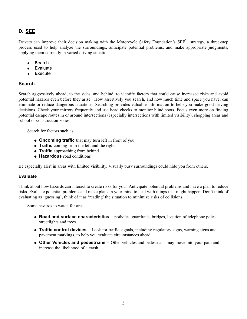## <span id="page-7-0"></span>**D. SEE**

Drivers can improve their decision making with the Motorcycle Safety Foundation's SEE<sup>SM</sup> strategy, a three-step process used to help analyze the surroundings, anticipate potential problems, and make appropriate judgments, applying them correctly in varied driving situations.

- **S**earch
- ◆ **Evaluate**
- **E**xecute

#### **Search**

Search aggressively ahead, to the sides, and behind, to identify factors that could cause increased risks and avoid potential hazards even before they arise. How assertively you search, and how much time and space you have, can eliminate or reduce dangerous situations. Searching provides valuable information to help you make good driving decisions. Check your mirrors frequently and use head checks to monitor blind spots. Focus even more on finding potential escape routes in or around intersections (especially intersections with limited visibility), shopping areas and school or construction zones.

Search for factors such as:

- **.** Oncoming traffic that may turn left in front of you
- **Traffic** coming from the left and the right
- **Traffic** approaching from behind
- **e** Hazardous road conditions

Be especially alert in areas with limited visibility. Visually busy surroundings could hide you from others.

#### **Evaluate**

Think about how hazards can interact to create risks for you. Anticipate potential problems and have a plan to reduce risks. Evaluate potential problems and make plans in your mind to deal with things that might happen. Don't think of evaluating as 'guessing', think of it as 'reading' the situation to minimize risks of collisions.

Some hazards to watch for are:

- **e Road and surface characteristics** potholes, guardrails, bridges, location of telephone poles, streetlights and trees
- **Traffic control devices** Look for traffic signals, including regulatory signs, warning signs and pavement markings, to help you evaluate circumstances ahead
- **Other Vehicles and pedestrians** Other vehicles and pedestrians may move into your path and increase the likelihood of a crash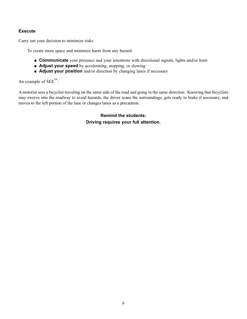#### **Execute**

Carry out your decision to minimize risks.

To create more space and minimize harm from any hazard:

- **Communicate** your presence and your intentions with directional signals, lights and/or horn
- **Adjust your speed** by accelerating, stopping, or slowing
- **Adjust your position** and/or direction by changing lanes if necessary

An example of  $\text{SEE}^{\text{SM}}$ :

A motorist sees a bicyclist traveling on the same side of the road and going in the same direction. Knowing that bicyclists may swerve into the roadway to avoid hazards, the driver scans the surroundings, gets ready to brake if necessary, and moves to the left portion of the lane or changes lanes as a precaution.

### **Remind the students: Driving requires your full attention.**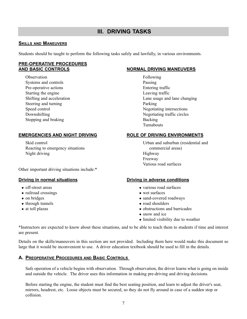# **III. DRIVING TASKS**

#### <span id="page-9-0"></span>**SKILLS AND MANEUVERS**

Students should be taught to perform the following tasks safely and lawfully, in various environments.

#### **PRE-OPERATIVE PROCEDURES AND BASIC CONTROLS NORMAL DRIVING MANEUVERS**

Observation Following Systems and controls Passing Pre-operative actions Entering traffic Starting the engine Leaving traffic Steering and turning Parking Parking Stopping and braking Backing

#### **EMERGENCIES AND NIGHT DRIVING ROLE OF DRIVING ENVIRONMENTS**

 Skid control Urban and suburban (residential and Reacting to emergency situations commercial areas) Night driving Highway

Other important driving situations include:\*

- 
- railroad crossings left wet surfaces
- 
- through tunnels  **road shoulders**
- 

Shifting and acceleration **Lane usage and lane changing** Speed control Speed control Speed control Negotiating intersections Speed control Downshifting Downshifting traffic circles and the Negotiating traffic circles Turnabouts

Freeway Various road surfaces

#### **Driving in normal situations Theory Conditions Conditions Conditions**

- off-street areas **lateral surfaces lateral surfaces various road surfaces** 
	-
- on bridges **later and same covered roadways and covered roadways** 
	-
- at toll plazas **lack of the set of the set of the set of the set of the set of the set of the set of the set of the set of the set of the set of the set of the set of the set of the set of the set of the set of the set o** 
	- snow and ice
	- limited visibility due to weather

\*Instructors are expected to know about these situations, and to be able to teach them to students if time and interest are present.

Details on the skills/maneuvers in this section are not provided. Including them here would make this document so large that it would be inconvenient to use. A driver education textbook should be used to fill in the details.

#### **A. PREOPERATIVE PROCEDURES AND BASIC CONTROLS**

 Safe operation of a vehicle begins with observation. Through observation, the driver learns what is going on inside and outside the vehicle. The driver uses this information in making pre-driving and driving decisions.

 Before starting the engine, the student must find the best seating position, and learn to adjust the driver's seat, mirrors, headrest, etc. Loose objects must be secured, so they do not fly around in case of a sudden stop or collision.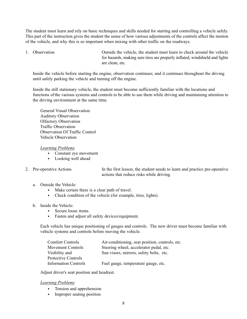The student must learn and rely on basic techniques and skills needed for starting and controlling a vehicle safely. This part of the instruction gives the student the sense of how various adjustments of the controls affect the motion of the vehicle, and why this is so important when mixing with other traffic on the roadways.

 1. Observation Outside the vehicle, the student must learn to check around the vehicle for hazards, making sure tires are properly inflated, windshield and lights are clean, etc.

 Inside the vehicle before starting the engine, observation continues; and it continues throughout the driving until safely parking the vehicle and turning off the engine.

 Inside the still stationary vehicle, the student must become sufficiently familiar with the locations and functions ofthe various systems and controls to be able to use them while driving and maintaining attention to the driving environment at the same time.

 General Visual Observation Auditory Observation Olfactory Observation Traffic Observation Observation Of Traffic Control Vehicle Observation

#### *Learning Problems*

- $\leftarrow$  Constant eye movement
- Looking well ahead
- 

 2. Pre-operative Actions In the first lesson, the student needs to learn and practice pre-operative actions that reduce risks while driving.

- a. Outside the Vehicle:
	- $\bullet$  Make certain there is a clear path of travel.
	- $\bullet$  Check condition of the vehicle (for example, tires, lights).
- b. Inside the Vehicle:
	- Secure loose items.
	- w Fasten and adjust all safety devices/equipment.

 Each vehicle has unique positioning of gauges and controls. The new driver must become familiar with vehicle systems and controls before moving the vehicle.

| <b>Comfort Controls</b>     | Air-conditioning, seat position, controls, etc. |
|-----------------------------|-------------------------------------------------|
| Movement Controls           | Steering wheel, accelerator pedal, etc.         |
| Visibility and              | Sun visors, mirrors, safety belts, etc.         |
| Protective Controls         |                                                 |
| <b>Information Controls</b> | Fuel gauge, temperature gauge, etc.             |

Adjust driver's seat position and headrest.

#### *Learning Problems*

- $\leftarrow$  Tension and apprehension
- $\cdot$  Improper seating position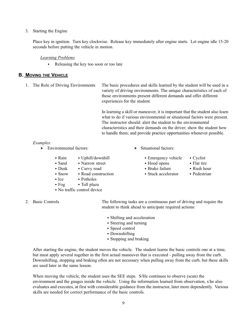<span id="page-11-0"></span> Place key in ignition. Turn key clockwise. Release key immediately after engine starts. Let engine idle 15-20 seconds before putting the vehicle in motion.

#### *Learning Problems*

Releasing the key too soon or too late

#### **B. MOVING THE VEHICLE**

 1. The Role of Driving Environments The basic procedures and skills learned by the student will be used in a variety of driving environments. The unique characteristics of each of those environments present different demands and offer different experiences for the student.

> In learning a skill or maneuver, it is important that the student also learn what to do if various environmental or situational factors were present. The instructor should: alert the student to the environmental characteristics and their demands on the driver; show the student how to handle them; and provide practice opportunities whenever possible.

#### *Examples:*

**Environmental factors:** → Situational factors:

- Rain Uphill/downhill Emergency vehicle Cyclist
- Sand Narrow street Hood opens Flat tire
- \* Dusk \* Curvy road \* Brake failure \* Rush hour
- Snow Road construction Stuck accelerator Pedestrian
- $\cdot$  Ice  $\cdot$  Potholes
- $\cdot$  Fog  $\cdot$  Toll plaza
- $\bullet$  No traffic control device
- 

 2. Basic Controls The following tasks are a continuous part of driving and require the student to think ahead to anticipate required actions:

- $\cdot$  Shifting and acceleration
- $\bullet$  Steering and turning
- Speed control
- $\cdot$  Downshifting
- Stopping and braking

 After starting the engine, the student moves the vehicle. The student learns the basic controls one at a time, but must apply several together in the first actual maneuver that is executed - pulling away from the curb. Downshifting, stopping and braking often are not necessary when pulling away from the curb, but these skills are used later in the same lesson.

 When moving the vehicle, the student uses the SEE steps. S/He continues to observe (scan) the environment and the gauges inside the vehicle. Using the information learned from observation, s/he also evaluates and executes, at first with considerable guidance from the instructor, later more dependently. Various skills are needed for correct performance of the basic controls.

- - -
		- -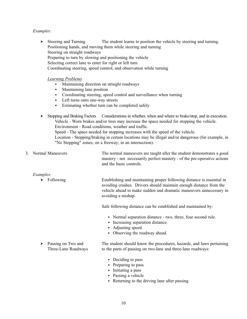#### *Examples:*

▶ Steering and Turning The student learns to position the vehicle by steering and turning. Positioning hands, and moving them while steering and turning Steering on straight roadways Preparing to turn by slowing and positioning the vehicle Selecting correct lane to enter for right or left turn Coordinating steering, speed control, and observation while turning

#### *Learning Problems*

- Maintaining direction on straight roadways
- $\bullet$  Maintaining lane position
- Coordinating steering, speed control and surveillance when turning
- $\leftarrow$  Left turns onto one-way streets
- Estimating whether turn can be completed safely
- ▶ Stopping and Braking Factors Considerations in whether, when and where to brake/stop, and in execution. Vehicle - Worn brakes and/or tires may increase the space needed for stopping the vehicle. Environment - Road conditions, weather and traffic.

Speed - The space needed for stopping increases with the speed of the vehicle.

 Location - Stopping/braking in certain locations may be illegal and/or dangerous (for example, in "No Stopping" zones; on a freeway; in an intersection).

 3. Normal Maneuvers The normal maneuvers are taught after the student demonstrates a good mastery - not necessarily perfect mastery - of the pre-operative actions and the basic controls.

#### *Examples:*

• Following Establishing and maintaining proper following distance is essential in avoiding crashes. Drivers should maintain enough distance from the vehicle ahead to make sudden and dramatic maneuvers unnecessary in avoiding a mishap.

Safe following distance can be established and maintained by:

- Normal separation distance two, three, four second rule.
- $\bullet$  Increasing separation distance.
- $\bullet$  Adjusting speed.
- Observing the roadway ahead.
- ▶ Passing on Two and The student should know the procedures, hazards, and laws pertaining Three-Lane Roadways to the parts of passing on two-lane and three-lane roadways:
	- $\bullet$  Deciding to pass
	- $\cdot$  Preparing to pass
	- $\bullet$  Initiating a pass
	- $\rightarrow$  Passing a vehicle
	- Returning to the driving lane after passing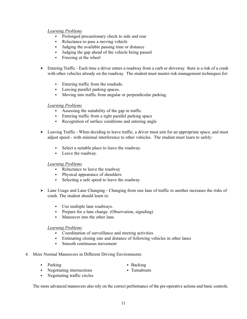#### *Learning Problems*

- Prolonged precautionary check to side and rear
- Reluctance to pass a moving vehicle
- $\bullet$  Judging the available passing time or distance
- $\bullet$  Judging the gap ahead of the vehicle being passed
- Freezing at the wheel
- $\blacktriangleright$  Entering Traffic Each time a driver enters a roadway from a curb or driveway there is a risk of a crash with other vehicles already on the roadway. The student must master risk management techniques for:
	- $\cdot$  Entering traffic from the roadside.
	- $\cdot$  Leaving parallel parking spaces.
	- Moving into traffic from angular or perpendicular parking.

#### *Learning Problems*

- Assessing the suitability of the gap in traffic
- Entering traffic from a tight parallel parking space
- Recognition of surface conditions and entering angle
- $\blacktriangleright$  Leaving Traffic When deciding to leave traffic, a driver must aim for an appropriate space, and must adjust speed - with minimal interference to other vehicles. The student must learn to safely:
	- Select a suitable place to leave the roadway.
	- $\bullet$  Leave the roadway.

#### *Learning Problems*

- $\leftarrow$  Reluctance to leave the roadway
- $\bullet$  Physical appearance of shoulders
- Selecting a safe speed to leave the roadway
- ▶ Lane Usage and Lane Changing Changing from one lane of traffic to another increases the risks of crash. The student should learn to:
	- $\bullet$  Use multiple lane roadways.
	- Prepare for a lane change. (Observation, signaling)
	- $\bullet$  Maneuver into the other lane.

#### *Learning Problems*

- $\bullet$  Coordination of surveillance and steering activities
- w Estimating closing rate and distance of following vehicles in other lanes
- Smooth continuous movement

#### 4. More Normal Maneuvers in Different Driving Environments

- Parking Backing
	-
- Negotiating intersections Turnabouts  $\bullet$  Negotiating traffic circles
	-
- The more advanced maneuvers also rely on the correct performance of the pre-operative actions and basic controls.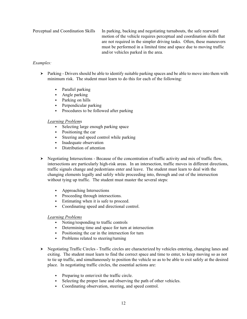Perceptual and Coordination Skills In parking, backing and negotiating turnabouts, the safe rearward motion of the vehicle requires perceptual and coordination skills that are not required in the simpler driving tasks. Often, these maneuvers must be performed in a limited time and space due to moving traffic and/or vehicles parked in the area.

#### *Examples:*

- $\blacktriangleright$  Parking Drivers should be able to identify suitable parking spaces and be able to move into them with minimum risk. The student must learn to do this for each of the following:
	- $\leftarrow$  Parallel parking
	- $\bullet$  Angle parking
	- $\leftarrow$  Parking on hills
	- $\leftarrow$  Perpendicular parking
	- Procedures to be followed after parking

#### *Learning Problem*s

- $\cdot$  Selecting large enough parking space
- $\bullet$  Positioning the car
- Steering and speed control while parking
- $\cdot$  Inadequate observation
- Distribution of attention
- $\blacktriangleright$  Negotiating Intersections Because of the concentration of traffic activity and mix of traffic flow, intersections are particularly high-risk areas. In an intersection, traffic moves in different directions, traffic signals change and pedestrians enter and leave. The student must learn to deal with the changing elements legally and safely while proceeding into, through and out of the intersection without tying up traffic. The student must master the several steps:
	- Approaching Intersections
	- $\cdot$  Proceeding through intersections.
	- Estimating when it is safe to proceed.
	- Coordinating speed and directional control.

#### *Learning Problems*

- $\bullet$  Noting/responding to traffic controls
- Determining time and space for turn at intersection
- $\bullet$  Positioning the car in the intersection for turn
- $\cdot$  Problems related to steering/turning
- $\blacktriangleright$  Negotiating Traffic Circles Traffic circles are characterized by vehicles entering, changing lanes and exiting. The student must learn to find the correct space and time to enter, to keep moving so as not to tie up traffic, and simultaneously to position the vehicle so as to be able to exit safely at the desired place. In negotiating traffic circles, the essential actions are:
	- $\cdot$  Preparing to enter/exit the traffic circle.
	- Selecting the proper lane and observing the path of other vehicles.
	- Coordinating observation, steering, and speed control.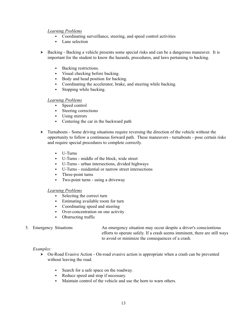#### *Learning Problems*

- Coordinating surveillance, steering, and speed control activities
- Lane selection
- $\blacktriangleright$  Backing Backing a vehicle presents some special risks and can be a dangerous maneuver. It is important for the student to know the hazards, procedures, and laws pertaining to backing.
	- Backing restrictions.
	- $\bullet$  Visual checking before backing.
	- $\bullet$  Body and head position for backing.
	- Coordinating the accelerator, brake, and steering while backing.
	- $\bullet$  Stopping while backing.

#### *Learning Problems*

- $\bullet$  Speed control
- $\bullet$  Steering corrections
- $\bullet$  Using mirrors
- Centering the car in the backward path
- $\blacktriangleright$  Turnabouts Some driving situations require reversing the direction of the vehicle without the opportunity to follow a continuous forward path. These maneuvers - turnabouts - pose certain risks and require special procedures to complete correctly.
	- $\bullet$  U-Turns
	- w U-Turns middle of the block, wide street
	- $\cdot$  U-Turns urban intersections, divided highways
	- w U-Turns residential or narrow street intersections
	- $\cdot$  Three-point turns
	- $\bullet$  Two-point turns using a driveway

#### *Learning Problems*

- $\cdot$  Selecting the correct turn
- $\cdot$  Estimating available room for turn
- $\leftarrow$  Coordinating speed and steering
- Over-concentration on one activity
- $\bullet$  Obstructing traffic

 5. Emergency Situations An emergency situation may occur despite a driver's conscientious efforts to operate safely. If a crash seems imminent, there are still ways to avoid or minimize the consequences of a crash.

#### *Examples:*

- $\triangleright$  On-Road Evasive Action On-road evasive action is appropriate when a crash can be prevented without leaving the road.
	- Search for a safe space on the roadway.
	- Reduce speed and stop if necessary.
	- Maintain control of the vehicle and use the horn to warn others.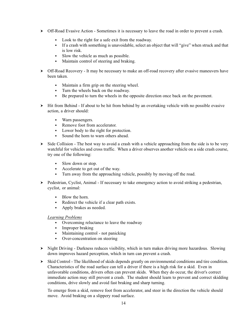- ▶ Off-Road Evasive Action Sometimes it is necessary to leave the road in order to prevent a crash.
	- Look to the right for a safe exit from the roadway.
	- w If a crash with something is unavoidable, select an object that will "give" when struck and that is low risk.
	- $\cdot$  Slow the vehicle as much as possible.
	- Maintain control of steering and braking.
- ▶ Off-Road Recovery It may be necessary to make an off-road recovery after evasive maneuvers have been taken.
	- $\bullet$  Maintain a firm grip on the steering wheel.
	- Turn the wheels back on the roadway.
	- w Be prepared to turn the wheels in the opposite direction once back on the pavement.
- $\rightarrow$  Hit from Behind If about to be hit from behind by an overtaking vehicle with no possible evasive action, a driver should:
	- $\bullet$  Warn passengers.
	- Remove foot from accelerator.
	- $\bullet$  Lower body to the right for protection.
	- Sound the horn to warn others ahead.
- $\triangleright$  Side Collision The best way to avoid a crash with a vehicle approaching from the side is to be very watchful for vehicles and cross traffic. When a driver observes another vehicle on a side crash course, try one of the following:
	- Slow down or stop.
	- Accelerate to get out of the way.
	- Turn away from the approaching vehicle, possibly by moving off the road.
- $\blacktriangleright$  Pedestrian, Cyclist, Animal If necessary to take emergency action to avoid striking a pedestrian, cyclist, or animal:
	- Blow the horn.
	- $\cdot$  Redirect the vehicle if a clear path exists.
	- $\leftrightarrow$  Apply brakes as needed.

#### *Learning Problems*

- Overcoming reluctance to leave the roadway
- $\cdot$  Improper braking
- $\bullet$  Maintaining control not panicking
- Over-concentration on steering
- $\rightarrow$  Night Driving Darkness reduces visibility, which in turn makes driving more hazardous. Slowing down improves hazard perception, which in turn can prevent a crash.
- $\blacktriangleright$  Skid Control The likelihood of skids depends greatly on environmental conditions and tire condition. Characteristics of the road surface can tell a driver if there is a high risk for a skid. Even in unfavorable conditions, drivers often can prevent skids. When they do occur, the driver's correct immediate action may still prevent a crash. The student should learn to prevent and correct skidding conditions, drive slowly and avoid fast braking and sharp turning.

 To emerge from a skid, remove foot from accelerator, and steer in the direction the vehicle should move. Avoid braking on a slippery road surface.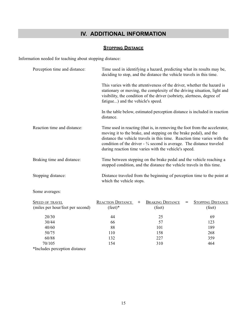# **IV. ADDITIONAL INFORMATION**

## **STOPPING DISTANCE**

<span id="page-17-0"></span>Information needed for teaching about stopping distance:

| Perception time and distance:    | Time used in identifying a hazard, predicting what its results may be,<br>deciding to stop, and the distance the vehicle travels in this time.                                                                                                                                                                                                                  |                                                                                                                                                                                                                                |                               |
|----------------------------------|-----------------------------------------------------------------------------------------------------------------------------------------------------------------------------------------------------------------------------------------------------------------------------------------------------------------------------------------------------------------|--------------------------------------------------------------------------------------------------------------------------------------------------------------------------------------------------------------------------------|-------------------------------|
|                                  | fatigue) and the vehicle's speed.                                                                                                                                                                                                                                                                                                                               | This varies with the attentiveness of the driver, whether the hazard is<br>stationary or moving, the complexity of the driving situation, light and<br>visibility, the condition of the driver (sobriety, alertness, degree of |                               |
|                                  | distance.                                                                                                                                                                                                                                                                                                                                                       | In the table below, estimated perception distance is included in reaction                                                                                                                                                      |                               |
| Reaction time and distance:      | Time used in reacting (that is, in removing the foot from the accelerator,<br>moving it to the brake, and stepping on the brake pedal), and the<br>distance the vehicle travels in this time. Reaction time varies with the<br>condition of the driver $-3/4$ second is average. The distance traveled<br>during reaction time varies with the vehicle's speed. |                                                                                                                                                                                                                                |                               |
| Braking time and distance:       | Time between stepping on the brake pedal and the vehicle reaching a<br>stopped condition, and the distance the vehicle travels in this time.                                                                                                                                                                                                                    |                                                                                                                                                                                                                                |                               |
| Stopping distance:               | which the vehicle stops.                                                                                                                                                                                                                                                                                                                                        | Distance traveled from the beginning of perception time to the point at                                                                                                                                                        |                               |
| Some averages:                   |                                                                                                                                                                                                                                                                                                                                                                 |                                                                                                                                                                                                                                |                               |
| <b>SPEED OF TRAVEL</b>           | <b>REACTION DISTANCE</b>                                                                                                                                                                                                                                                                                                                                        | <b>BRAKING DISTANCE</b><br>$\ddot{}$                                                                                                                                                                                           | <b>STOPPING DISTANCE</b><br>= |
| (miles per hour/feet per second) | $(\text{feet})^*$                                                                                                                                                                                                                                                                                                                                               | (feet)                                                                                                                                                                                                                         | (feet)                        |
| 20/30                            | 44                                                                                                                                                                                                                                                                                                                                                              | 25                                                                                                                                                                                                                             | 69                            |
| 30/44                            | 66                                                                                                                                                                                                                                                                                                                                                              | 57                                                                                                                                                                                                                             | 123                           |
| 40/60                            | 88                                                                                                                                                                                                                                                                                                                                                              | 101                                                                                                                                                                                                                            | 189                           |
| 50/75                            | 110                                                                                                                                                                                                                                                                                                                                                             | 158                                                                                                                                                                                                                            | 268                           |
| 60/88                            | 132                                                                                                                                                                                                                                                                                                                                                             | 227                                                                                                                                                                                                                            | 359                           |

 70/105 154 310 464 \*Includes perception distance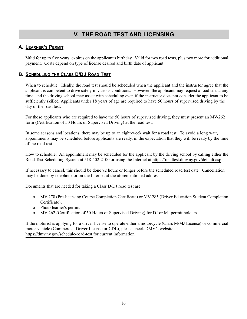# **V. THE ROAD TEST AND LICENSING**

### <span id="page-18-0"></span>**A. LEARNER'S PERMIT**

 Valid for up to five years, expires on the applicant's birthday. Valid for two road tests, plus two more for additional payment. Costs depend on type of license desired and birth date of applicant.

### **B. SCHEDULING THE CLASS D/DJ ROAD TEST**

When to schedule: Ideally, the road test should be scheduled when the applicant and the instructor agree that the applicant is competent to drive safely in various conditions. However, the applicant may request a road test at any time, and the driving school may assist with scheduling even if the instructor does not consider the applicant to be sufficiently skilled. Applicants under 18 years of age are required to have 50 hours of supervised driving by the day of the road test.

 For those applicants who are required to have the 50 hours of supervised driving, they must present an MV-262 form (Certification of 50 Hours of Supervised Driving) at the road test.

 In some seasons and locations, there may be up to an eight-week wait for a road test. To avoid a long wait, appointments may be scheduled before applicants are ready, in the expectation that they will be ready by the time of the road test.

 How to schedule: An appointment may be scheduled for the applicant by the driving school by calling either the Road Test Scheduling System at 518-402-2100 or using the Internet at [https://roadtest.dmv.ny.gov/default.asp](https://nyrtsscheduler.com/)

 If necessary to cancel, this should be done 72 hours or longer before the scheduled road test date. Cancellation may be done by telephone or on the Internet at the aforementioned address.

Documents that are needed for taking a Class D/DJ road test are:

- o MV-278 (Pre-licensing Course Completion Certificate) or MV-285 (Driver Education Student Completion Certificate);
- o Photo learner's permit
- o MV-262 (Certification of 50 Hours of Supervised Driving) for DJ or MJ permit holders.

 If the motorist is applying for a driver license to operate either a motorcycle (Class M/MJ License) or commercial motor vehicle (Commercial Driver License or CDL), please check DMV's website at <https://dmv.ny.gov/schedule-road-test>for current information.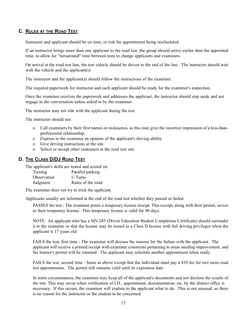#### <span id="page-19-0"></span>**C. RULES AT THE ROAD TEST**

Instructor and applicant should be on time, or risk the appointment being rescheduled.

 If an instructor brings more than one applicant to the road test, the group should arrive earlier than the appointed time, to allow for "turnaround" time between tests to change applicants and examiners.

 On arrival at the road test line, the test vehicle should be driven to the end of the line. The instructor should wait with the vehicle and the applicant(s).

The instructor and the applicant(s) should follow the instructions of the examiner.

The required paperwork for instructor and each applicant should be ready for the examiner's inspection.

 Once the examiner receives the paperwork and addresses the applicant, the instructor should step aside and not engage in the conversation unless asked to by the examiner.

The instructor may not ride with the applicant during the test.

The instructor should not:

- o Call examiners by their first names or nicknames, as this may give the incorrect impression of a less-than professional relationship.
- o Express to the examiner an opinion of the applicant's driving ability.
- o Give driving instructions at the site.
- o Solicit or accept other customers at the road test site.

#### **D. THE CLASS D/DJ ROAD TEST**

The applicant's skills are tested and scored on:

| Turning     | Parallel parking  |
|-------------|-------------------|
| Observation | U Turns           |
| Judgment    | Rules of the road |

The examiner does not try to trick the applicant.

Applicants usually are informed at the end of the road test whether they passed or failed.

 PASSES the test - The examiner prints a temporary license receipt. This receipt, along with their permit, serves as their temporary license. This temporary license is valid for 90 days.

 NOTE: An applicant who has a MV-285 (Driver Education Student Completion Certificate) should surrender it to the examiner so that the license may be issued as a Class D license with full driving privileges when the applicant is 17 years old.

 FAILS the test, first time - The examiner will discuss the reasons for the failure with the applicant. The applicant will receive a printed receipt with examiner comments pertaining to areas needing improvement, and the learner's permit will be returned. The applicant may schedule another appointment when ready.

 FAILS the test, second time - Same as above except that the individual must pay a \$10 fee for two more road test appointments. The permit still remains valid until its expiration date.

 In some circumstances, the examiner may keep all of the applicant's documents and not disclose the results of the test. This may occur when verification of I.D., appointment, documentation, etc. by the district office is necessary. If this occurs, the examiner will explain to the applicant what to do. This is not unusual, so there is no reason for the instructor or the student to be concerned.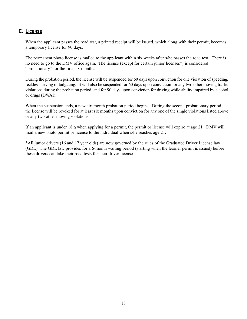#### <span id="page-20-0"></span>**E. LICENSE**

 When the applicant passes the road test, a printed receipt will be issued, which along with their permit, becomes a temporary license for 90 days.

 The permanent photo license is mailed to the applicant within six weeks after s/he passes the road test. There is no need to go to the DMV office again. The license (except for certain junior licenses\*) is considered "probationary" for the first six months.

 During the probation period, the license will be suspended for 60 days upon conviction for one violation of speeding, reckless driving or tailgating. It will also be suspended for 60 days upon conviction for any two other moving traffic violations during the probation period, and for 90 days upon conviction for driving while ability impaired by alcohol or drugs (DWAI).

When the suspension ends, a new six-month probation period begins. During the second probationary period, the license will be revoked for at least six months upon conviction for any one of the single violations listed above or any two other moving violations.

 If an applicant is under 18½ when applying for a permit, the permit or license will expire at age 21. DMV will mail a new photo permit or license to the individual when s/he reaches age 21.

 \*All junior drivers (16 and 17 year olds) are now governed by the rules of the Graduated Driver License law (GDL). The GDL law provides for a 6-month waiting period (starting when the learner permit is issued) before these drivers can take their road tests for their driver license.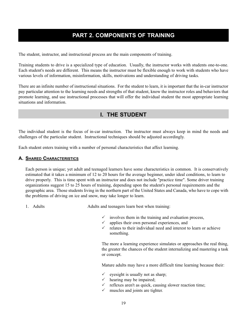# **PART 2. COMPONENTS OF TRAINING**

<span id="page-21-1"></span><span id="page-21-0"></span>The student, instructor, and instructional process are the main components of training.

Training students to drive is a specialized type of education. Usually, the instructor works with students one-to-one. Each student's needs are different. This means the instructor must be flexible enough to work with students who have various levels of information, misinformation, skills, motivations and understanding of driving tasks.

There are an infinite number of instructional situations. For the student to learn, it is important that the in-car instructor pay particular attention to the learning needs and strengths of that student, know the instructor roles and behaviors that promote learning, and use instructional processes that will offer the individual student the most appropriate learning situations and information.

# **I. THE STUDENT**

The individual student is the focus of in-car instruction. The instructor must always keep in mind the needs and challenges of the particular student. Instructional techniques should be adjusted accordingly.

Each student enters training with a number of personal characteristics that affect learning.

#### **A. SHARED CHARACTERISTICS**

 Each person is unique; yet adult and teenaged learners have some characteristics in common. It is conservatively estimated that it takes a minimum of 12 to 20 hours for the average beginner, under ideal conditions, to learn to drive properly. This is time spent with an instructor and does not include "practice time". Some driver training organizations suggest 15 to 25 hours of training, depending upon the student's personal requirements and the geographic area. Those students living in the northern part of the United States and Canada, who have to cope with the problems of driving on ice and snow, may take longer to learn.

1. Adults Adults Adults and teenagers learn best when training:

- $\checkmark$  involves them in the training and evaluation process,
- $\checkmark$  applies their own personal experiences, and
- $\checkmark$  relates to their individual need and interest to learn or achieve something.

 The more a learning experience simulates or approaches the real thing, the greater the chances of the student internalizing and mastering a task or concept.

Mature adults may have a more difficult time learning because their:

- $\checkmark$  eyesight is usually not as sharp;
- $\checkmark$  hearing may be impaired:
- $\checkmark$  reflexes aren't as quick, causing slower reaction time;
- $\checkmark$  muscles and joints are tighter.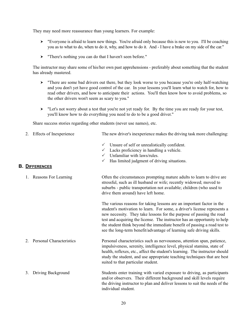<span id="page-22-0"></span>They may need more reassurance than young learners. For example:

- $\blacktriangleright$  "Everyone is afraid to learn new things. You're afraid only because this is new to you. I'll be coaching you as to what to do, when to do it, why, and how to do it. And - I have a brake on my side of the car."
- ▶ "There's nothing you can do that I haven't seen before."

 The instructor may share some of his/her own past apprehensions - preferably about something that the student has already mastered.

- $\blacktriangleright$  "There are some bad drivers out there, but they look worse to you because you're only half-watching and you don't yet have good control of the car. In your lessons you'll learn what to watch for, how to read other drivers, and how to anticipate their actions. You'll then know how to avoid problems, so the other drivers won't seem as scary to you."
- $\blacktriangleright$  "Let's not worry about a test that you're not yet ready for. By the time you are ready for your test, you'll know how to do everything you need to do to be a good driver."

Share success stories regarding other students (never use names), etc.

- 2. Effects of Inexperience The new driver's inexperience makes the driving task more challenging:
	- $\checkmark$  Unsure of self or unrealistically confident.
	- $\checkmark$  Lacks proficiency in handling a vehicle.
	- $\checkmark$  Unfamiliar with laws/rules.
	- $\checkmark$  Has limited judgment of driving situations.

#### **B. DIFFERENCES**

 1. Reasons For Learning Often the circumstances prompting mature adults to learn to drive are stressful, such as ill husband or wife; recently widowed; moved to suburbs - public transportation not available; children (who used to drive them around) have left home.

> The various reasons for taking lessons are an important factor in the student's motivation to learn. For some, a driver's license represents a new necessity. They take lessons for the purpose of passing the road test and acquiring the license. The instructor has an opportunity to help the student think beyond the immediate benefit of passing a road test to see the long-term benefit/advantage of learning safe driving skills.

- 2. Personal Characteristics Personal characteristics such as nervousness, attention span, patience, impulsiveness, serenity, intelligence level, physical stamina, state of health, reflexes, etc., affect the student's learning. The instructor should study the student, and use appropriate teaching techniques that are best suited to that particular student.
- 3. Driving Background Students enter training with varied exposure to driving, as participants and/or observers. Their different background and skill levels require the driving instructor to plan and deliver lessons to suit the needs of the individual student.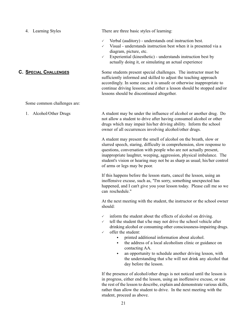<span id="page-23-0"></span> 4. Learning Styles There are three basic styles of learning: Verbal (auditory) - understands oral instruction best.  $\checkmark$  Visual - understands instruction best when it is presented via a diagram, picture, etc.  $\checkmark$  Experiential (kinesthetic) - understands instruction best by actually doing it, or simulating an actual experience

**C. SPECIAL CHALLENGES** Some students present special challenges. The instructor must be sufficiently informed and skilled to adjust the teaching approach accordingly. In some cases it is unsafe or otherwise inappropriate to continue driving lessons; and either a lesson should be stopped and/or lessons should be discontinued altogether.

Some common challenges are:

 1. Alcohol/Other Drugs A student may be under the influence of alcohol or another drug. Do not allow a student to drive after having consumed alcohol or other drugs which may impair his/her driving ability. Inform the school owner of all occurrences involving alcohol/other drugs.

> A student may present the smell of alcohol on the breath, slow or slurred speech, staring, difficulty in comprehension, slow response to questions, conversation with people who are not actually present, inappropriate laughter, weeping, aggression, physical imbalance. The student's vision or hearing may not be as sharp as usual; his/her control of arms or legs may be poor.

> If this happens before the lesson starts, cancel the lesson, using an inoffensive excuse, such as, "I'm sorry, something unexpected has happened, and I can't give you your lesson today. Please call me so we can reschedule."

> At the next meeting with the student, the instructor or the school owner should:

- $\checkmark$  inform the student about the effects of alcohol on driving.
- $\checkmark$  tell the student that s/he may not drive the school vehicle after drinking alcohol or consuming other consciousness-impairing drugs.
- $\checkmark$  offer the student:
	- $\bullet$  printed additional information about alcohol.
	- $\cdot$  the address of a local alcoholism clinic or guidance on contacting AA.
	- $\bullet$  an opportunity to schedule another driving lesson, with the understanding that s/he will not drink any alcohol that day before the lesson.

 If the presence of alcohol/other drugs is not noticed until the lesson is in progress, either end the lesson, using an inoffensive excuse, or use the rest of the lesson to describe, explain and demonstrate various skills, rather than allow the student to drive. In the next meeting with the student, proceed as above.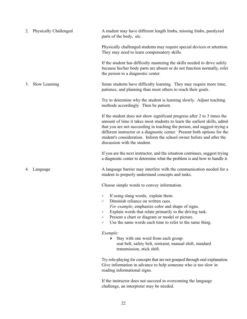| <b>Physically Challenged</b><br>2. | A student may have different length limbs, missing limbs, paralyzed<br>parts of the body, etc.                                                                                                                                                                                                                                                                                                                                                                                                                |
|------------------------------------|---------------------------------------------------------------------------------------------------------------------------------------------------------------------------------------------------------------------------------------------------------------------------------------------------------------------------------------------------------------------------------------------------------------------------------------------------------------------------------------------------------------|
|                                    | Physically challenged students may require special devices or attention.<br>They may need to learn compensatory skills.                                                                                                                                                                                                                                                                                                                                                                                       |
|                                    | If the student has difficulty mastering the skills needed to drive safely<br>because his/her body parts are absent or do not function normally, refer<br>the person to a diagnostic center.                                                                                                                                                                                                                                                                                                                   |
| Slow Learning<br>3.                | Some students have difficulty learning. They may require more time,<br>patience, and planning than most others to reach their goals.                                                                                                                                                                                                                                                                                                                                                                          |
|                                    | Try to determine why the student is learning slowly. Adjust teaching<br>methods accordingly. Then be patient.                                                                                                                                                                                                                                                                                                                                                                                                 |
|                                    | If the student does not show significant progress after 2 to 3 times the<br>amount of time it takes most students to learn the earliest skills, admit<br>that you are not succeeding in teaching the person, and suggest trying a<br>different instructor or a diagnostic center. Present both options for the<br>student's consideration. Inform the school owner before and after the<br>discussion with the student.                                                                                       |
|                                    | If you are the next instructor, and the situation continues, suggest trying<br>a diagnostic center to determine what the problem is and how to handle it.                                                                                                                                                                                                                                                                                                                                                     |
| Language<br>4.                     | A language barrier may interfere with the communication needed for a<br>student to properly understand concepts and tasks.                                                                                                                                                                                                                                                                                                                                                                                    |
|                                    | Choose simple words to convey information.                                                                                                                                                                                                                                                                                                                                                                                                                                                                    |
|                                    | If using slang words, explain them.<br>$\checkmark$<br>Diminish reliance on written cues.<br>$\checkmark$<br>For example, emphasize color and shape of signs.<br>Explain words that relate primarily to the driving task.<br>$\checkmark$<br>Present a chart or diagram or model or picture.<br>$\checkmark$<br>Use the same words each time to refer to the same thing.<br>$\checkmark$<br>Example:<br>Stay with one word from each group:<br>≻<br>seat belt, safety belt, restraint; manual shift, standard |
|                                    | transmission, stick shift.                                                                                                                                                                                                                                                                                                                                                                                                                                                                                    |
|                                    | Try role-playing for concepts that are not grasped through oral explanation.<br>Give information in advance to help someone who is too slow in                                                                                                                                                                                                                                                                                                                                                                |

reading informational signs.

 If the instructor does not succeed in overcoming the language challenge, an interpreter may be needed.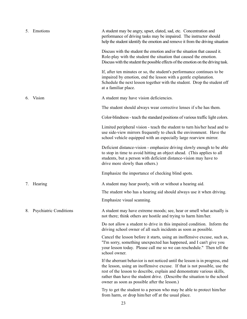|    | 5. Emotions                   | A student may be angry, upset, elated, sad, etc. Concentration and<br>performance of driving tasks may be impaired. The instructor should<br>help the student identify the emotion and remove it from the driving situation                                                                                                                                       |
|----|-------------------------------|-------------------------------------------------------------------------------------------------------------------------------------------------------------------------------------------------------------------------------------------------------------------------------------------------------------------------------------------------------------------|
|    |                               | Discuss with the student the emotion and/or the situation that caused it.<br>Role-play with the student the situation that caused the emotion.<br>Discuss with the student the possible effects of the emotion on the driving task.                                                                                                                               |
|    |                               | If, after ten minutes or so, the student's performance continues to be<br>impaired by emotion, end the lesson with a gentle explanation.<br>Schedule the next lesson together with the student. Drop the student off<br>at a familiar place.                                                                                                                      |
| 6. | Vision                        | A student may have vision deficiencies.                                                                                                                                                                                                                                                                                                                           |
|    |                               | The student should always wear corrective lenses if s/he has them.                                                                                                                                                                                                                                                                                                |
|    |                               | Color-blindness - teach the standard positions of various traffic light colors.                                                                                                                                                                                                                                                                                   |
|    |                               | Limited peripheral vision - teach the student to turn his/her head and to<br>use side-view mirrors frequently to check the environment. Have the<br>school vehicle equipped with an especially large rearview mirror.                                                                                                                                             |
|    |                               | Deficient distance-vision - emphasize driving slowly enough to be able<br>to stop in time to avoid hitting an object ahead. (This applies to all<br>students, but a person with deficient distance-vision may have to<br>drive more slowly than others.)                                                                                                          |
|    |                               | Emphasize the importance of checking blind spots.                                                                                                                                                                                                                                                                                                                 |
| 7. | Hearing                       | A student may hear poorly, with or without a hearing aid.                                                                                                                                                                                                                                                                                                         |
|    |                               | The student who has a hearing aid should always use it when driving.                                                                                                                                                                                                                                                                                              |
|    |                               | Emphasize visual scanning.                                                                                                                                                                                                                                                                                                                                        |
| 8. | <b>Psychiatric Conditions</b> | A student may have extreme moods; see, hear or smell what actually is<br>not there; think others are hostile and trying to harm him/her.                                                                                                                                                                                                                          |
|    |                               | Do not allow a student to drive in this impaired condition. Inform the<br>driving school owner of all such incidents as soon as possible.                                                                                                                                                                                                                         |
|    |                               | Cancel the lesson before it starts, using an inoffensive excuse, such as,<br>"I'm sorry, something unexpected has happened, and I can't give you<br>your lesson today. Please call me so we can reschedule." Then tell the<br>school owner.                                                                                                                       |
|    |                               | If the aberrant behavior is not noticed until the lesson is in progress, end<br>the lesson, using an inoffensive excuse. If that is not possible, use the<br>rest of the lesson to describe, explain and demonstrate various skills,<br>rather than have the student drive. (Describe the situation to the school<br>owner as soon as possible after the lesson.) |
|    |                               | Try to get the student to a person who may be able to protect him/her<br>from harm, or drop him/her off at the usual place.                                                                                                                                                                                                                                       |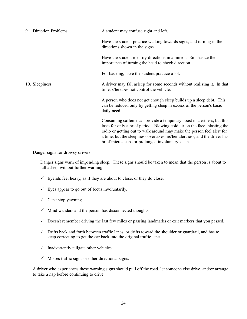| <b>Direction Problems</b><br>9. | A student may confuse right and left.                                                                                                                                                                                                                                                                                                                             |
|---------------------------------|-------------------------------------------------------------------------------------------------------------------------------------------------------------------------------------------------------------------------------------------------------------------------------------------------------------------------------------------------------------------|
|                                 | Have the student practice walking towards signs, and turning in the<br>directions shown in the signs.                                                                                                                                                                                                                                                             |
|                                 | Have the student identify directions in a mirror. Emphasize the<br>importance of turning the head to check direction.                                                                                                                                                                                                                                             |
|                                 | For backing, have the student practice a lot.                                                                                                                                                                                                                                                                                                                     |
| 10. Sleepiness                  | A driver may fall as leep for some seconds without realizing it. In that<br>time, s/he does not control the vehicle.                                                                                                                                                                                                                                              |
|                                 | A person who does not get enough sleep builds up a sleep debt. This<br>can be reduced only by getting sleep in excess of the person's basic<br>daily need.                                                                                                                                                                                                        |
|                                 | Consuming caffeine can provide a temporary boost in alertness, but this<br>lasts for only a brief period. Blowing cold air on the face, blasting the<br>radio or getting out to walk around may make the person feel alert for<br>a time, but the sleepiness overtakes his/her alertness, and the driver has<br>brief microsleeps or prolonged involuntary sleep. |

Danger signs for drowsy drivers:

 Danger signs warn of impending sleep. These signs should be taken to mean that the person is about to fall asleep without further warning:

- $\checkmark$  Eyelids feel heavy, as if they are about to close, or they do close.
- $\checkmark$  Eyes appear to go out of focus involuntarily.
- $\checkmark$  Can't stop yawning.
- $\checkmark$  Mind wanders and the person has disconnected thoughts.
- $\checkmark$  Doesn't remember driving the last few miles or passing landmarks or exit markers that you passed.
- $\checkmark$  Drifts back and forth between traffic lanes, or drifts toward the shoulder or guardrail, and has to keep correcting to get the car back into the original traffic lane.
- $\checkmark$  Inadvertently tailgate other vehicles.
- $\checkmark$  Misses traffic signs or other directional signs.

 A driver who experiences these warning signs should pull off the road, let someone else drive, and/or arrange to take a nap before continuing to drive.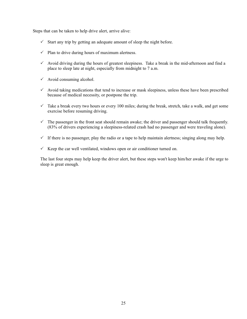Steps that can be taken to help drive alert, arrive alive:

- $\checkmark$  Start any trip by getting an adequate amount of sleep the night before.
- $\checkmark$  Plan to drive during hours of maximum alertness.
- $\checkmark$  Avoid driving during the hours of greatest sleepiness. Take a break in the mid-afternoon and find a place to sleep late at night, especially from midnight to 7 a.m.
- $\checkmark$  Avoid consuming alcohol.
- $\checkmark$  Avoid taking medications that tend to increase or mask sleepiness, unless these have been prescribed because of medical necessity, or postpone the trip.
- $\checkmark$  Take a break every two hours or every 100 miles; during the break, stretch, take a walk, and get some exercise before resuming driving.
- $\checkmark$  The passenger in the front seat should remain awake; the driver and passenger should talk frequently. (83% of drivers experiencing a sleepiness-related crash had no passenger and were traveling alone).
- $\checkmark$  If there is no passenger, play the radio or a tape to help maintain alertness; singing along may help.
- $\checkmark$  Keep the car well ventilated, windows open or air conditioner turned on.

 The last four steps may help keep the driver alert, but these steps won't keep him/her awake if the urge to sleep is great enough.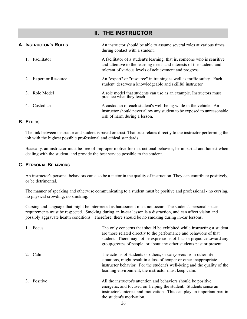# **II. THE INSTRUCTOR**

# <span id="page-28-0"></span>**A. INSTRUCTOR'S ROLES** An instructor should be able to assume several roles at various times during contact with a student. 1. Facilitator **A** facilitator of a student's learning, that is, someone who is sensitive and attentive to the learning needs and interests of the student, and tolerant of various levels of achievement and progress. 2. Expert or Resource An "expert" or "resource" in training as well as traffic safety. Each student deserves a knowledgeable and skillful instructor. 3. Role Model A role model that students can use as an example. Instructors must practice what they teach. 4. Custodian A custodian A custodian of each student's well-being while in the vehicle. An instructor should never allow any student to be exposed to unreasonable risk of harm during a lesson.

**B. ETHICS**

 The link between instructor and student is based on trust. That trust relates directly to the instructor performing the job with the highest possible professional and ethical standards.

 Basically, an instructor must be free of improper motive for instructional behavior, be impartial and honest when dealing with the student, and provide the best service possible to the student.

#### **C. PERSONAL BEHAVIORS**

 An instructor's personal behaviors can also be a factor in the quality of instruction. They can contribute positively, or be detrimental.

 The manner of speaking and otherwise communicating to a student must be positive and professional - no cursing, no physical crowding, no smoking.

 Cursing and language that might be interpreted as harassment must not occur. The student's personal space requirements must be respected. Smoking during an in-car lesson is a distraction, and can affect vision and possibly aggravate health conditions. Therefore, there should be no smoking during in-car lessons.

| Focus       | The only concerns that should be exhibited while instructing a student<br>are those related directly to the performance and behaviors of that<br>student. There may not be expressions of bias or prejudice toward any<br>group/groups of people, or about any other students past or present. |
|-------------|------------------------------------------------------------------------------------------------------------------------------------------------------------------------------------------------------------------------------------------------------------------------------------------------|
| Calm        | The actions of students or others, or carryovers from other life<br>situations, might result in a loss of temper or other inappropriate<br>instructor behavior. For the student's well-being and the quality of the<br>learning environment, the instructor must keep calm.                    |
| 3. Positive | All the instructor's attention and behaviors should be positive,<br>energetic, and focused on helping the student. Students sense an<br>instructor's interest and motivation. This can play an important part in<br>the student's motivation.                                                  |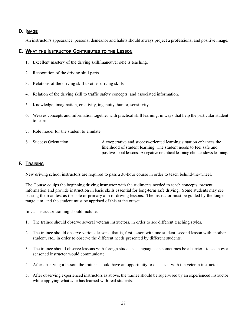#### <span id="page-29-0"></span>**D. IMAGE**

An instructor's appearance, personal demeanor and habits should always project a professional and positive image.

#### **E. WHAT THE INSTRUCTOR CONTRIBUTES TO THE LESSON**

- 1. Excellent mastery of the driving skill/maneuver s/he is teaching.
- 2. Recognition of the driving skill parts.
- 3. Relations of the driving skill to other driving skills.
- 4. Relation of the driving skill to traffic safety concepts, and associated information.
- 5. Knowledge, imagination, creativity, ingenuity, humor, sensitivity.
- 6. Weaves concepts and information together with practical skill learning, in ways that help the particular student to learn.
- 7. Role model for the student to emulate.
- 8. Success Orientation A cooperative and success-oriented learning situation enhances the likelihood of student learning. The student needs to feel safe and positive about lessons. A negative or critical learning climate slows learning.

#### **F. TRAINING**

New driving school instructors are required to pass a 30-hour course in order to teach behind-the-wheel.

 The Course equips the beginning driving instructor with the rudiments needed to teach concepts, present information and provide instruction in basic skills essential for long-term safe driving. Some students may see passing the road test as the sole or primary aim of driving lessons. The instructor must be guided by the longer range aim, and the student must be apprised of this at the outset.

In-car instructor training should include:

- 1. The trainee should observe several veteran instructors, in order to see different teaching styles.
- 2. The trainee should observe various lessons; that is, first lesson with one student, second lesson with another student, etc., in order to observe the different needs presented by different students.
- 3. The trainee should observe lessons with foreign students language can sometimes be a barrier to see how a seasoned instructor would communicate.
- 4. After observing a lesson, the trainee should have an opportunity to discuss it with the veteran instructor.
- 5. After observing experienced instructors as above, the trainee should be supervised by an experienced instructor while applying what s/he has learned with real students.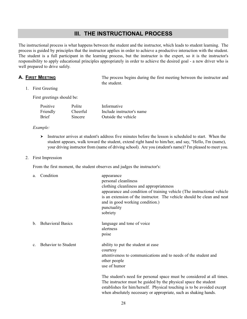# **III. THE INSTRUCTIONAL PROCESS**

<span id="page-30-0"></span>The instructional process is what happens between the student and the instructor, which leads to student learning. The process is guided by principles that the instructor applies in order to achieve a productive interaction with the student. The student is a full participant in the learning process, but the instructor is the expert, so it is the instructor's responsibility to apply educational principles appropriately in order to achieve the desired goal - a new driver who is well prepared to drive safely.

**A.** FIRST MEETING The process begins during the first meeting between the instructor and the student.

1. First Greeting

First greetings should be:

| <b>Positive</b> | Polite   | Informative               |
|-----------------|----------|---------------------------|
| Friendly        | Cheerful | Include instructor's name |
| <b>Brief</b>    | Sincere  | Outside the vehicle       |

#### *Example:*

- $\blacktriangleright$  Instructor arrives at student's address five minutes before the lesson is scheduled to start. When the student appears, walk toward the student, extend right hand to him/her, and say, "Hello, I'm (name), your driving instructor from (name of driving school). Are you (student's name)? I'm pleased to meet you.
- 2. First Impression

From the first moment, the student observes and judges the instructor's:

| a.             | Condition                  | appearance<br>personal cleanliness<br>clothing cleanliness and appropriateness<br>appearance and condition of training vehicle (The instructional vehicle<br>is an extension of the instructor. The vehicle should be clean and neat<br>and in good working condition.)<br>punctuality<br>sobriety |
|----------------|----------------------------|----------------------------------------------------------------------------------------------------------------------------------------------------------------------------------------------------------------------------------------------------------------------------------------------------|
| $h_{-}$        | <b>Behavioral Basics</b>   | language and tone of voice<br>alertness<br>poise                                                                                                                                                                                                                                                   |
| $\mathbf{c}$ . | <b>Behavior to Student</b> | ability to put the student at ease<br>courtesy<br>attentiveness to communications and to needs of the student and<br>other people<br>use of humor                                                                                                                                                  |
|                |                            | The student's need for personal space must be considered at all times.<br>The instructor must be guided by the physical space the student<br>establishes for him/herself. Physical touching is to be avoided except                                                                                |

when absolutely necessary or appropriate, such as shaking hands.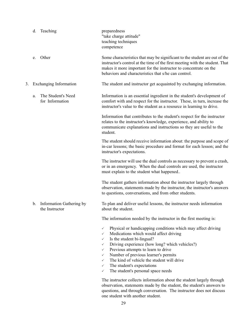|    | d.<br>Teaching                                               | preparedness<br>"take charge attitude"<br>teaching techniques<br>competence                                                                                                                                                                                                                                                                                                                                                                                                                                                                                                     |
|----|--------------------------------------------------------------|---------------------------------------------------------------------------------------------------------------------------------------------------------------------------------------------------------------------------------------------------------------------------------------------------------------------------------------------------------------------------------------------------------------------------------------------------------------------------------------------------------------------------------------------------------------------------------|
|    | Other<br>e.                                                  | Some characteristics that may be significant to the student are out of the<br>instructor's control at the time of the first meeting with the student. That<br>makes it more important for the instructor to concentrate on the<br>behaviors and characteristics that s/he can control.                                                                                                                                                                                                                                                                                          |
| 3. | <b>Exchanging Information</b>                                | The student and instructor get acquainted by exchanging information.                                                                                                                                                                                                                                                                                                                                                                                                                                                                                                            |
|    | The Student's Need<br>a.<br>for Information                  | Information is an essential ingredient in the student's development of<br>comfort with and respect for the instructor. These, in turn, increase the<br>instructor's value to the student as a resource in learning to drive.                                                                                                                                                                                                                                                                                                                                                    |
|    |                                                              | Information that contributes to the student's respect for the instructor<br>relates to the instructor's knowledge, experience, and ability to<br>communicate explanations and instructions so they are useful to the<br>student.                                                                                                                                                                                                                                                                                                                                                |
|    |                                                              | The student should receive information about: the purpose and scope of<br>in-car lessons; the basic procedure and format for each lesson; and the<br>instructor's expectations.                                                                                                                                                                                                                                                                                                                                                                                                 |
|    |                                                              | The instructor will use the dual controls as necessary to prevent a crash,<br>or in an emergency. When the dual controls are used, the instructor<br>must explain to the student what happened                                                                                                                                                                                                                                                                                                                                                                                  |
|    |                                                              | The student gathers information about the instructor largely through<br>observation, statements made by the instructor, the instructor's answers<br>to questions, conversations, and from other students.                                                                                                                                                                                                                                                                                                                                                                       |
|    | Information Gathering by<br>$\mathbf{b}$ .<br>the Instructor | To plan and deliver useful lessons, the instructor needs information<br>about the student.                                                                                                                                                                                                                                                                                                                                                                                                                                                                                      |
|    |                                                              | The information needed by the instructor in the first meeting is:                                                                                                                                                                                                                                                                                                                                                                                                                                                                                                               |
|    |                                                              | Physical or handicapping conditions which may affect driving<br>✓<br>Medications which would affect driving<br>✓<br>Is the student bi-lingual?<br>$\checkmark$<br>Driving experience (how long? which vehicles?)<br>$\checkmark$<br>Previous attempts to learn to drive<br>$\checkmark$<br>Number of previous learner's permits<br>$\checkmark$<br>The kind of vehicle the student will drive<br>$\checkmark$<br>The student's expectations<br>$\checkmark$<br>The student's personal space needs<br>✓<br>The instructor collects information about the student largely through |

observation, statements made by the student, the student's answers to questions, and through conversation. The instructor does not discuss one student with another student.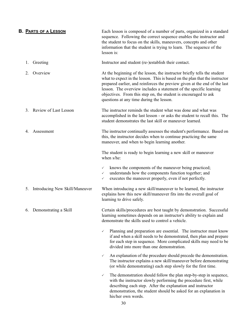<span id="page-32-0"></span>

|    | <b>B. PARTS OF A LESSON</b>    | Each lesson is composed of a number of parts, organized in a standard<br>sequence. Following the correct sequence enables the instructor and<br>the student to focus on the skills, maneuvers, concepts and other<br>information that the student is trying to learn. The sequence of the<br>lesson is:                                                                                                                   |
|----|--------------------------------|---------------------------------------------------------------------------------------------------------------------------------------------------------------------------------------------------------------------------------------------------------------------------------------------------------------------------------------------------------------------------------------------------------------------------|
| 1. | Greeting                       | Instructor and student (re-)establish their contact.                                                                                                                                                                                                                                                                                                                                                                      |
| 2. | Overview                       | At the beginning of the lesson, the instructor briefly tells the student<br>what to expect in the lesson. This is based on the plan that the instructor<br>prepared earlier, and reinforces the preview given at the end of the last<br>lesson. The overview includes a statement of the specific learning<br>objectives. From this step on, the student is encouraged to ask<br>questions at any time during the lesson. |
| 3. | Review of Last Lesson          | The instructor reminds the student what was done and what was<br>accomplished in the last lesson - or asks the student to recall this. The<br>student demonstrates the last skill or maneuver learned.                                                                                                                                                                                                                    |
| 4. | Assessment                     | The instructor continually assesses the student's performance. Based on<br>this, the instructor decides when to continue practicing the same<br>maneuver, and when to begin learning another.                                                                                                                                                                                                                             |
|    |                                | The student is ready to begin learning a new skill or maneuver<br>when s/he:                                                                                                                                                                                                                                                                                                                                              |
|    |                                | knows the components of the maneuver being practiced;<br>$\checkmark$<br>understands how the components function together; and<br>$\checkmark$<br>executes the maneuver properly, even if not perfectly.<br>✓                                                                                                                                                                                                             |
| 5. | Introducing New Skill/Maneuver | When introducing a new skill/maneuver to be learned, the instructor<br>explains how this new skill/maneuver fits into the overall goal of<br>learning to drive safely.                                                                                                                                                                                                                                                    |
|    | 6. Demonstrating a Skill       | Certain skills/procedures are best taught by demonstration. Successful<br>learning sometimes depends on an instructor's ability to explain and<br>demonstrate the skills used to control a vehicle.                                                                                                                                                                                                                       |
|    |                                | Planning and preparation are essential. The instructor must know<br>$\checkmark$<br>if and when a skill needs to be demonstrated, then plan and prepare<br>for each step in sequence. More complicated skills may need to be<br>divided into more than one demonstration.                                                                                                                                                 |
|    |                                | An explanation of the procedure should precede the demonstration.<br>$\checkmark$<br>The instructor explains a new skill/maneuver before demonstrating<br>(or while demonstrating) each step slowly for the first time.                                                                                                                                                                                                   |
|    |                                | The demonstration should follow the plan step-by-step in sequence,<br>$\checkmark$<br>with the instructor slowly performing the procedure first, while<br>describing each step. After the explanation and instructor<br>demonstration, the student should be asked for an explanation in<br>his/her own words.                                                                                                            |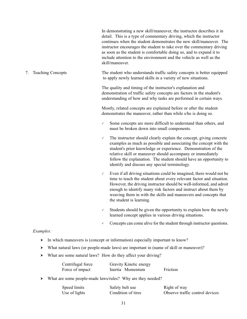In demonstrating a new skill/maneuver, the instructor describes it in detail. This is a type of commentary driving, which the instructor continues when the student demonstrates the new skill/maneuver. The instructor encourages the student to take over the commentary driving as soon as the student is comfortable doing so, and to expand it to include attention to the environment and the vehicle as well as the skill/maneuver.

#### 7. Teaching Concepts The student who understands traffic safety concepts is better equipped to apply newly learned skills in a variety of new situations.

The quality and timing of the instructor's explanation and demonstration of traffic safety concepts are factors in the student's understanding of how and why tasks are performed in certain ways.

Mostly, related concepts are explained before or after the student demonstrates the maneuver, rather than while s/he is doing so.

- $\checkmark$  Some concepts are more difficult to understand than others, and must be broken down into small components.
- $\checkmark$  The instructor should clearly explain the concept, giving concrete examples as much as possible and associating the concept with the student's prior knowledge or experience. Demonstration of the relative skill or maneuver should accompany or immediately follow the explanation. The student should have an opportunity to identify and discuss any special terminology.
- $\checkmark$  Even if all driving situations could be imagined, there would not be time to teach the student about every relevant factor and situation. However, the driving instructor should be well-informed, and adroit enough to identify many risk factors and instruct about them by weaving them in with the skills and maneuvers and concepts that the student is learning.
- $\checkmark$  Students should be given the opportunity to explain how the newly learned concept applies in various driving situations.
- $\checkmark$  Concepts can come alive for the student through instructor questions.

#### *Examples:*

- $\blacktriangleright$  In which maneuvers is (concept or information) especially important to know?
- ▶ What natural laws (or people-made laws) are important in (name of skill or maneuver)?
- ▶ What are some natural laws? How do they affect your driving?

| Centrifugal force | Gravity Kinetic energy |          |
|-------------------|------------------------|----------|
| Force of impact   | Inertia Momentum       | Friction |

† What are some people-made laws/rules? Why are they needed?

| Speed limits  | Safety belt use    | Right of way                    |
|---------------|--------------------|---------------------------------|
| Use of lights | Condition of tires | Observe traffic control devices |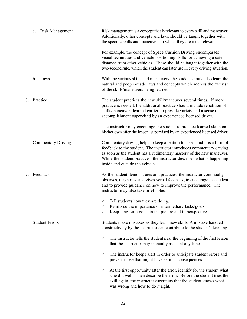|    | <b>Risk Management</b><br>a. | Risk management is a concept that is relevant to every skill and maneuver.<br>Additionally, other concepts and laws should be taught together with<br>the specific skills and maneuvers to which they are most relevant.                                                                                                                |
|----|------------------------------|-----------------------------------------------------------------------------------------------------------------------------------------------------------------------------------------------------------------------------------------------------------------------------------------------------------------------------------------|
|    |                              | For example, the concept of Space Cushion Driving encompasses<br>visual techniques and vehicle positioning skills for achieving a safe<br>distance from other vehicles. These should be taught together with the<br>two-second rule, which the student can later use in every driving situation.                                        |
|    | Laws<br>$\mathbf{b}$ .       | With the various skills and maneuvers, the student should also learn the<br>natural and people-made laws and concepts which address the "why's"<br>of the skills/maneuvers being learned.                                                                                                                                               |
| 8. | Practice                     | The student practices the new skill/maneuver several times. If more<br>practice is needed, the additional practice should include repetition of<br>skills/maneuvers learned earlier, to provide variety and a sense of<br>accomplishment supervised by an experienced licensed driver.                                                  |
|    |                              | The instructor may encourage the student to practice learned skills on<br>his/her own after the lesson, supervised by an experienced licensed driver.                                                                                                                                                                                   |
|    | <b>Commentary Driving</b>    | Commentary driving helps to keep attention focused, and it is a form of<br>feedback to the student. The instructor introduces commentary driving<br>as soon as the student has a rudimentary mastery of the new maneuver.<br>While the student practices, the instructor describes what is happening<br>inside and outside the vehicle. |
| 9. | Feedback                     | As the student demonstrates and practices, the instructor continually<br>observes, diagnoses, and gives verbal feedback, to encourage the student<br>and to provide guidance on how to improve the performance. The<br>instructor may also take brief notes.                                                                            |
|    |                              | Tell students how they are doing.<br>✓                                                                                                                                                                                                                                                                                                  |
|    |                              | Reinforce the importance of intermediary tasks/goals.<br>✓<br>Keep long-term goals in the picture and in perspective.                                                                                                                                                                                                                   |
|    | <b>Student Errors</b>        | Students make mistakes as they learn new skills. A mistake handled<br>constructively by the instructor can contribute to the student's learning.                                                                                                                                                                                        |
|    |                              | The instructor tells the student near the beginning of the first lesson<br>✓<br>that the instructor may manually assist at any time.                                                                                                                                                                                                    |
|    |                              | The instructor keeps alert in order to anticipate student errors and<br>$\checkmark$<br>prevent those that might have serious consequences.                                                                                                                                                                                             |
|    |                              | At the first opportunity after the error, identify for the student what<br>✓<br>s/he did well. Then describe the error. Before the student tries the<br>skill again, the instructor ascertains that the student knows what<br>was wrong and how to do it right.                                                                         |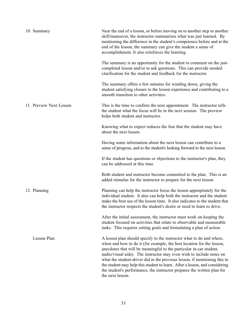| 10. Summary             | Near the end of a lesson, or before moving on to another step or another<br>skill/maneuver, the instructor summarizes what was just learned. By<br>mentioning the difference in the student's competence before and at the<br>end of the lesson, the summary can give the student a sense of<br>accomplishment. It also reinforces the learning.                                                                                                                                                                                                        |
|-------------------------|---------------------------------------------------------------------------------------------------------------------------------------------------------------------------------------------------------------------------------------------------------------------------------------------------------------------------------------------------------------------------------------------------------------------------------------------------------------------------------------------------------------------------------------------------------|
|                         | The summary is an opportunity for the student to comment on the just-<br>completed lesson and/or to ask questions. This can provide needed<br>clarification for the student and feedback for the instructor.                                                                                                                                                                                                                                                                                                                                            |
|                         | The summary offers a few minutes for winding down, giving the<br>student satisfying closure to the lesson experience and contributing to a<br>smooth transition to other activities.                                                                                                                                                                                                                                                                                                                                                                    |
| 11. Preview Next Lesson | This is the time to confirm the next appointment. The instructor tells<br>the student what the focus will be in the next session. The preview<br>helps both student and instructor.                                                                                                                                                                                                                                                                                                                                                                     |
|                         | Knowing what to expect reduces the fear that the student may have<br>about the next lesson.                                                                                                                                                                                                                                                                                                                                                                                                                                                             |
|                         | Having some information about the next lesson can contribute to a<br>sense of progress, and to the student's looking forward to the next lesson.                                                                                                                                                                                                                                                                                                                                                                                                        |
|                         | If the student has questions or objections to the instructor's plan, they<br>can be addressed at this time.                                                                                                                                                                                                                                                                                                                                                                                                                                             |
|                         | Both student and instructor become committed to the plan. This is an<br>added stimulus for the instructor to prepare for the next lesson.                                                                                                                                                                                                                                                                                                                                                                                                               |
| 12. Planning            | Planning can help the instructor focus the lesson appropriately for the<br>individual student. It also can help both the instructor and the student<br>make the best use of the lesson time. It also indicates to the student that<br>the instructor respects the student's desire or need to learn to drive.                                                                                                                                                                                                                                           |
|                         | After the initial assessment, the instructor must work on keeping the<br>student focused on activities that relate to observable and measurable<br>tasks. This requires setting goals and formulating a plan of action.                                                                                                                                                                                                                                                                                                                                 |
| Lesson Plan             | A lesson plan should specify to the instructor what to do and where,<br>when and how to do it (for example, the best location for the lesson,<br>anecdotes that will be meaningful to the particular in-car student,<br>audio/visual aids). The instructor may even wish to include notes on<br>what the student-driver did in the previous lesson, if mentioning this to<br>the student may help this student to learn. After a lesson, and considering<br>the student's performance, the instructor prepares the written plan for<br>the next lesson. |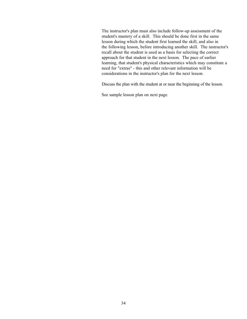The instructor's plan must also include follow-up assessment of the student's mastery of a skill. This should be done first in the same lesson during which the student first learned the skill, and also in the following lesson, before introducing another skill. The instructor's recall about the student is used as a basis for selecting the correct approach for that student in the next lesson. The pace of earlier learning, that student's physical characteristics which may constitute a need for "extras" - this and other relevant information will be considerations in the instructor's plan for the next lesson.

Discuss the plan with the student at or near the beginning of the lesson.

See sample lesson plan on next page.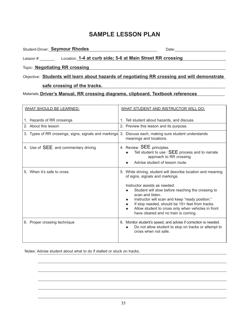# **SAMPLE LESSON PLAN**

Student-Driver: Seymour Rhodes and a student-Driver: Seymour Rhodes and a student-

## Lesson # \_\_\_\_\_\_\_\_\_\_\_Location: 1-4 at curb side; 5-6 at Main Street RR crossing **the company of the set of the street**

Topic: **Negotiating RR crossing Network of the state of the state of the state of the state of the state of the state of the state of the state of the state of the state of the state of the state of the state of the stat** 

#### Objective: **Students will learn about hazards of negotiating RR crossing and will demonstrate**

#### safe crossing of the tracks.

Materials: **Driver's Manual, RR crossing diagrams, clipboard, Textbook references** 

| WHAT SHOULD BE LEARNED:                               | WHAT STUDENT AND INSTRUCTOR WILL DO:                                                                                                                                                                                                                                                                                                                                                                          |
|-------------------------------------------------------|---------------------------------------------------------------------------------------------------------------------------------------------------------------------------------------------------------------------------------------------------------------------------------------------------------------------------------------------------------------------------------------------------------------|
| 1. Hazards of RR crossings                            | 1. Tell student about hazards, and discuss.                                                                                                                                                                                                                                                                                                                                                                   |
| 2. About this lesson                                  | 2. Preview this lesson and its purpose.                                                                                                                                                                                                                                                                                                                                                                       |
| 3. Types of RR crossings, signs, signals and markings | 3. Discuss each, making sure student understands<br>meanings and locations.                                                                                                                                                                                                                                                                                                                                   |
| 4. Use of <b>SEE</b> and commentary driving           | 4. Review SEE principles.<br>Tell student to use SEE process and to narrate<br>approach to RR crossing.<br>Advise student of lesson route.                                                                                                                                                                                                                                                                    |
| 5. When it's safe to cross                            | 5. While driving, student will describe location and meaning<br>of signs, signals and markings.<br>Instructor assists as needed:<br>Student will slow before reaching the crossing to<br>scan and listen.<br>Instructor will scan and keep "ready postiion."<br>If stop needed, should be 15+ feet from tracks.<br>Allow student to cross only when vehicles in front<br>have cleared and no train is coming. |
| 6. Proper crossing technique                          | 6. Monitor student's speed, and advise if correction is needed.<br>Do not allow student to stop on tracks or attempt to<br>cross when not safe.                                                                                                                                                                                                                                                               |

Notes: Advise student about what to do if stalled or stuck on tracks.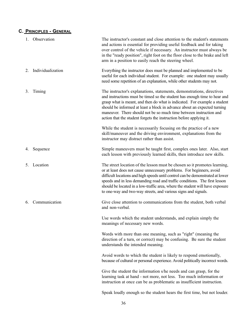# <span id="page-38-0"></span>**C. PRINCIPLES - GENERAL**

|    | Observation       | The instructor's constant and close attention to the student's statements<br>and actions is essential for providing useful feedback and for taking<br>over control of the vehicle if necessary. An instructor must always be<br>in the "ready position", right foot on the floor close to the brake and left<br>arm in a position to easily reach the steering wheel.                                                                                                 |
|----|-------------------|-----------------------------------------------------------------------------------------------------------------------------------------------------------------------------------------------------------------------------------------------------------------------------------------------------------------------------------------------------------------------------------------------------------------------------------------------------------------------|
| 2. | Individualization | Everything the instructor does must be planned and implemented to be<br>useful for each individual student. For example: one student may usually<br>need some repetition of an explanation, while other students may not.                                                                                                                                                                                                                                             |
| 3. | Timing            | The instructor's explanations, statements, demonstrations, directives<br>and instructions must be timed so the student has enough time to hear and<br>grasp what is meant, and then do what is indicated. For example a student<br>should be informed at least a block in advance about an expected turning<br>maneuver. There should not be so much time between instruction and<br>action that the student forgets the instruction before applying it.              |
|    |                   | While the student is necessarily focusing on the practice of a new<br>skill/maneuver and the driving environment, explanations from the<br>instructor may distract rather than assist.                                                                                                                                                                                                                                                                                |
| 4. | Sequence          | Simple maneuvers must be taught first, complex ones later. Also, start<br>each lesson with previously learned skills, then introduce new skills.                                                                                                                                                                                                                                                                                                                      |
| 5. | Location          | The street location of the lesson must be chosen so it promotes learning,<br>or at least does not cause unnecessary problems. For beginners, avoid<br>difficult locations and high speeds until control can be demonstrated at lower<br>speeds and in less demanding road and traffic conditions. The first lesson<br>should be located in a low-traffic area, where the student will have exposure<br>to one-way and two-way streets, and various signs and signals. |
| 6. | Communication     | Give close attention to communications from the student, both verbal<br>and non-verbal.                                                                                                                                                                                                                                                                                                                                                                               |
|    |                   | Use words which the student understands, and explain simply the<br>meanings of necessary new words.                                                                                                                                                                                                                                                                                                                                                                   |
|    |                   | Words with more than one meaning, such as "right" (meaning the<br>direction of a turn, or correct) may be confusing. Be sure the student<br>understands the intended meaning.                                                                                                                                                                                                                                                                                         |
|    |                   | Avoid words to which the student is likely to respond emotionally,<br>because of cultural or personal experience. Avoid politically incorrect words.                                                                                                                                                                                                                                                                                                                  |
|    |                   | Give the student the information s/he needs and can grasp, for the<br>learning task at hand - not more, not less. Too much information or<br>instruction at once can be as problematic as insufficient instruction.                                                                                                                                                                                                                                                   |
|    |                   | Speak loudly enough so the student hears the first time, but not louder.                                                                                                                                                                                                                                                                                                                                                                                              |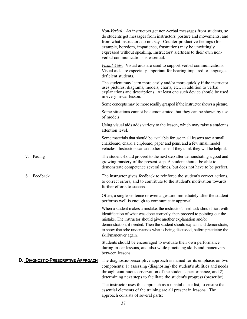<span id="page-39-0"></span>

|                                            | do students get messages from instructors' posture and movements, and<br>from what instructors do not say. Counter-productive feelings (for<br>example, boredom, impatience, frustration) may be unwittingly<br>expressed without speaking. Instructors' alertness to their own non-<br>verbal communications is essential.                                                                                         |
|--------------------------------------------|---------------------------------------------------------------------------------------------------------------------------------------------------------------------------------------------------------------------------------------------------------------------------------------------------------------------------------------------------------------------------------------------------------------------|
|                                            | <i>Visual Aids:</i> Visual aids are used to support verbal communications.<br>Visual aids are especially important for hearing impaired or language-<br>deficient students.                                                                                                                                                                                                                                         |
|                                            | The student may learn more easily and/or more quickly if the instructor<br>uses pictures, diagrams, models, charts, etc., in addition to verbal<br>explanations and descriptions. At least one such device should be used<br>in every in-car lesson.                                                                                                                                                                |
|                                            | Some concepts may be more readily grasped if the instructor shows a picture.                                                                                                                                                                                                                                                                                                                                        |
|                                            | Some situations cannot be demonstrated, but they can be shown by use<br>of models.                                                                                                                                                                                                                                                                                                                                  |
|                                            | Using visual aids adds variety to the lesson, which may raise a student's<br>attention level.                                                                                                                                                                                                                                                                                                                       |
|                                            | Some materials that should be available for use in all lessons are: a small<br>chalkboard, chalk, a clipboard, paper and pens, and a few small model<br>vehicles. Instructors can add other items if they think they will be helpful.                                                                                                                                                                               |
| 7. Pacing                                  | The student should proceed to the next step after demonstrating a good and<br>growing mastery of the present step. A student should be able to<br>demonstrate competence several times, but does not have to be perfect.                                                                                                                                                                                            |
| 8. Feedback                                | The instructor gives feedback to reinforce the student's correct actions,<br>to correct errors, and to contribute to the student's motivation towards<br>further efforts to succeed.                                                                                                                                                                                                                                |
|                                            | Often, a single sentence or even a gesture immediately after the student<br>performs well is enough to communicate approval.                                                                                                                                                                                                                                                                                        |
|                                            | When a student makes a mistake, the instructor's feedback should start with<br>identification of what was done correctly, then proceed to pointing out the<br>mistake. The instructor should give another explanation and/or<br>demonstration, if needed. Then the student should explain and demonstrate,<br>to show that s/he understands what is being discussed, before practicing the<br>skill/maneuver again. |
|                                            | Students should be encouraged to evaluate their own performance<br>during in-car lessons, and also while practicing skills and maneuvers<br>between lessons.                                                                                                                                                                                                                                                        |
| <u>D. DIAGNOSTIC-PRESCRIPTIVE APPROACH</u> | The diagnostic-prescriptive approach is named for its emphasis on two<br>components: 1) assessing (diagnosing) the student's abilities and needs<br>through continuous observation of the student's performance, and 2)<br>determining next steps to facilitate the student's progress (prescribe).                                                                                                                 |
|                                            | The instructor uses this approach as a mental checklist, to ensure that<br>essential elements of the training are all present in lessons. The<br>approach consists of several parts:                                                                                                                                                                                                                                |

*Non-Verbal:* As instructors get non-verbal messages from students, so

37